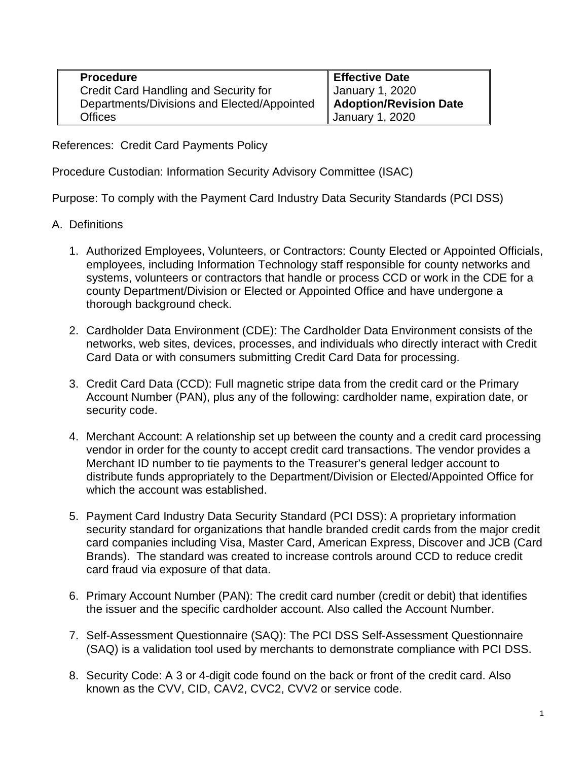| <b>Procedure</b>                            | <b>Effective Date</b>                            |
|---------------------------------------------|--------------------------------------------------|
| Credit Card Handling and Security for       |                                                  |
| Departments/Divisions and Elected/Appointed | January 1, 2020<br><b>Adoption/Revision Date</b> |
| Offices                                     | January 1, 2020                                  |

References: Credit Card Payments Policy

Procedure Custodian: Information Security Advisory Committee (ISAC)

Purpose: To comply with the Payment Card Industry Data Security Standards (PCI DSS)

- A. Definitions
	- 1. Authorized Employees, Volunteers, or Contractors: County Elected or Appointed Officials, employees, including Information Technology staff responsible for county networks and systems, volunteers or contractors that handle or process CCD or work in the CDE for a county Department/Division or Elected or Appointed Office and have undergone a thorough background check.
	- 2. Cardholder Data Environment (CDE): The Cardholder Data Environment consists of the networks, web sites, devices, processes, and individuals who directly interact with Credit Card Data or with consumers submitting Credit Card Data for processing.
	- 3. Credit Card Data (CCD): Full magnetic stripe data from the credit card or the Primary Account Number (PAN), plus any of the following: cardholder name, expiration date, or security code.
	- 4. Merchant Account: A relationship set up between the county and a credit card processing vendor in order for the county to accept credit card transactions. The vendor provides a Merchant ID number to tie payments to the Treasurer's general ledger account to distribute funds appropriately to the Department/Division or Elected/Appointed Office for which the account was established.
	- 5. Payment Card Industry Data Security Standard (PCI DSS): A proprietary information security standard for organizations that handle branded credit cards from the major credit card companies including Visa, Master Card, American Express, Discover and JCB (Card Brands). The standard was created to increase controls around CCD to reduce credit card fraud via exposure of that data.
	- 6. Primary Account Number (PAN): The credit card number (credit or debit) that identifies the issuer and the specific cardholder account. Also called the Account Number.
	- 7. Self-Assessment Questionnaire (SAQ): The PCI DSS Self-Assessment Questionnaire (SAQ) is a validation tool used by merchants to demonstrate compliance with PCI DSS.
	- 8. Security Code: A 3 or 4-digit code found on the back or front of the credit card. Also known as the CVV, CID, CAV2, CVC2, CVV2 or service code.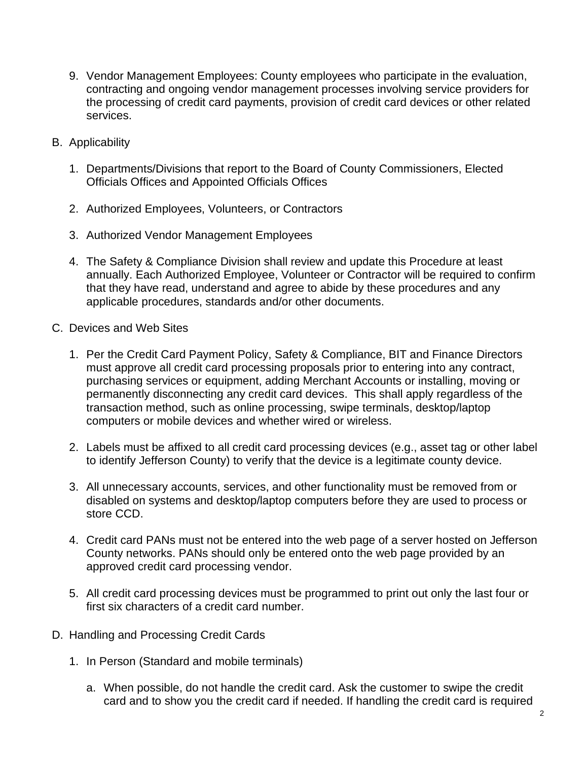- 9. Vendor Management Employees: County employees who participate in the evaluation, contracting and ongoing vendor management processes involving service providers for the processing of credit card payments, provision of credit card devices or other related services.
- B. Applicability
	- 1. Departments/Divisions that report to the Board of County Commissioners, Elected Officials Offices and Appointed Officials Offices
	- 2. Authorized Employees, Volunteers, or Contractors
	- 3. Authorized Vendor Management Employees
	- 4. The Safety & Compliance Division shall review and update this Procedure at least annually. Each Authorized Employee, Volunteer or Contractor will be required to confirm that they have read, understand and agree to abide by these procedures and any applicable procedures, standards and/or other documents.
- C. Devices and Web Sites
	- 1. Per the Credit Card Payment Policy, Safety & Compliance, BIT and Finance Directors must approve all credit card processing proposals prior to entering into any contract, purchasing services or equipment, adding Merchant Accounts or installing, moving or permanently disconnecting any credit card devices. This shall apply regardless of the transaction method, such as online processing, swipe terminals, desktop/laptop computers or mobile devices and whether wired or wireless.
	- 2. Labels must be affixed to all credit card processing devices (e.g., asset tag or other label to identify Jefferson County) to verify that the device is a legitimate county device.
	- 3. All unnecessary accounts, services, and other functionality must be removed from or disabled on systems and desktop/laptop computers before they are used to process or store CCD.
	- 4. Credit card PANs must not be entered into the web page of a server hosted on Jefferson County networks. PANs should only be entered onto the web page provided by an approved credit card processing vendor.
	- 5. All credit card processing devices must be programmed to print out only the last four or first six characters of a credit card number.
- D. Handling and Processing Credit Cards
	- 1. In Person (Standard and mobile terminals)
		- a. When possible, do not handle the credit card. Ask the customer to swipe the credit card and to show you the credit card if needed. If handling the credit card is required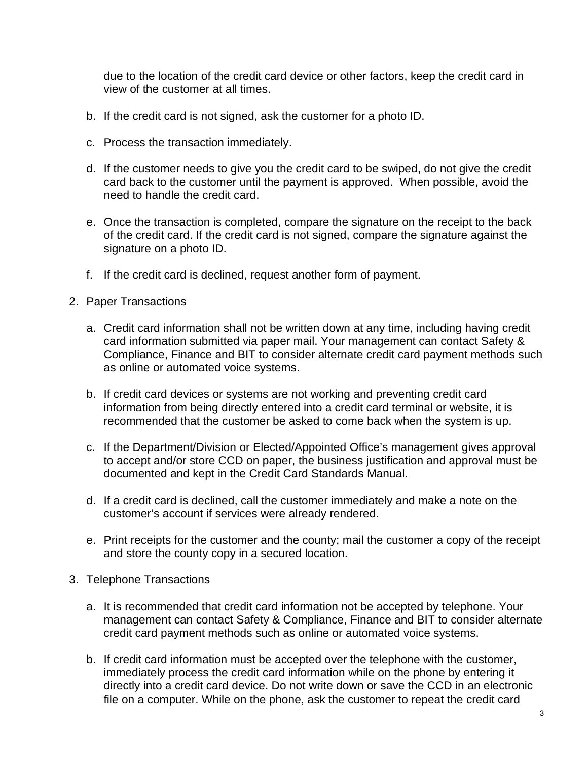due to the location of the credit card device or other factors, keep the credit card in view of the customer at all times.

- b. If the credit card is not signed, ask the customer for a photo ID.
- c. Process the transaction immediately.
- d. If the customer needs to give you the credit card to be swiped, do not give the credit card back to the customer until the payment is approved. When possible, avoid the need to handle the credit card.
- e. Once the transaction is completed, compare the signature on the receipt to the back of the credit card. If the credit card is not signed, compare the signature against the signature on a photo ID.
- f. If the credit card is declined, request another form of payment.
- 2. Paper Transactions
	- a. Credit card information shall not be written down at any time, including having credit card information submitted via paper mail. Your management can contact Safety & Compliance, Finance and BIT to consider alternate credit card payment methods such as online or automated voice systems.
	- b. If credit card devices or systems are not working and preventing credit card information from being directly entered into a credit card terminal or website, it is recommended that the customer be asked to come back when the system is up.
	- c. If the Department/Division or Elected/Appointed Office's management gives approval to accept and/or store CCD on paper, the business justification and approval must be documented and kept in the Credit Card Standards Manual.
	- d. If a credit card is declined, call the customer immediately and make a note on the customer's account if services were already rendered.
	- e. Print receipts for the customer and the county; mail the customer a copy of the receipt and store the county copy in a secured location.
- 3. Telephone Transactions
	- a. It is recommended that credit card information not be accepted by telephone. Your management can contact Safety & Compliance, Finance and BIT to consider alternate credit card payment methods such as online or automated voice systems.
	- b. If credit card information must be accepted over the telephone with the customer, immediately process the credit card information while on the phone by entering it directly into a credit card device. Do not write down or save the CCD in an electronic file on a computer. While on the phone, ask the customer to repeat the credit card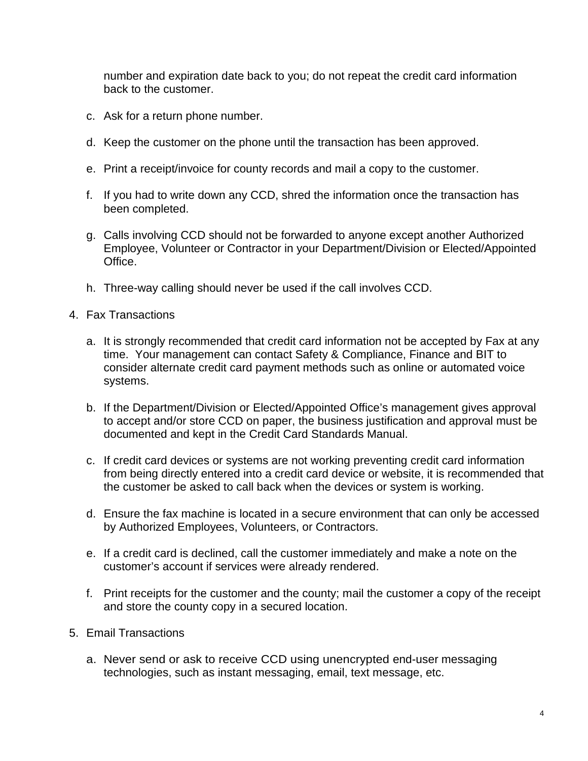number and expiration date back to you; do not repeat the credit card information back to the customer.

- c. Ask for a return phone number.
- d. Keep the customer on the phone until the transaction has been approved.
- e. Print a receipt/invoice for county records and mail a copy to the customer.
- f. If you had to write down any CCD, shred the information once the transaction has been completed.
- g. Calls involving CCD should not be forwarded to anyone except another Authorized Employee, Volunteer or Contractor in your Department/Division or Elected/Appointed Office.
- h. Three-way calling should never be used if the call involves CCD.
- 4. Fax Transactions
	- a. It is strongly recommended that credit card information not be accepted by Fax at any time. Your management can contact Safety & Compliance, Finance and BIT to consider alternate credit card payment methods such as online or automated voice systems.
	- b. If the Department/Division or Elected/Appointed Office's management gives approval to accept and/or store CCD on paper, the business justification and approval must be documented and kept in the Credit Card Standards Manual.
	- c. If credit card devices or systems are not working preventing credit card information from being directly entered into a credit card device or website, it is recommended that the customer be asked to call back when the devices or system is working.
	- d. Ensure the fax machine is located in a secure environment that can only be accessed by Authorized Employees, Volunteers, or Contractors.
	- e. If a credit card is declined, call the customer immediately and make a note on the customer's account if services were already rendered.
	- f. Print receipts for the customer and the county; mail the customer a copy of the receipt and store the county copy in a secured location.
- 5. Email Transactions
	- a. Never send or ask to receive CCD using unencrypted end-user messaging technologies, such as instant messaging, email, text message, etc.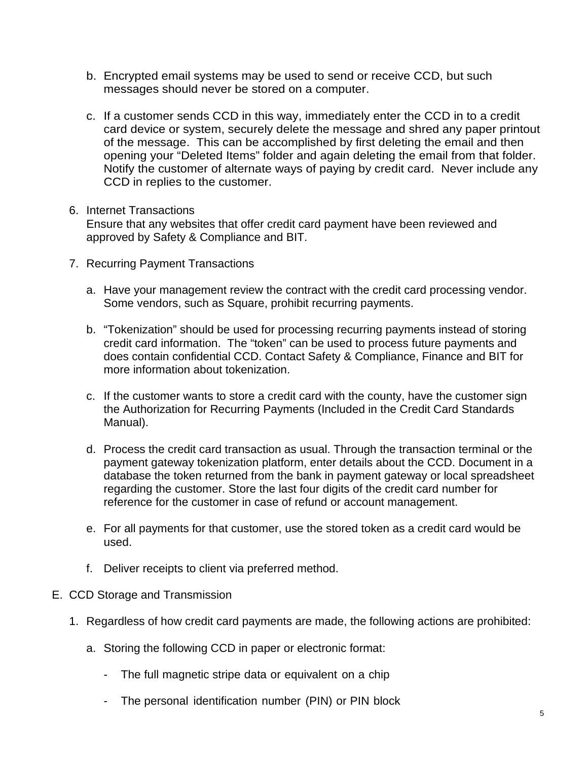- b. Encrypted email systems may be used to send or receive CCD, but such messages should never be stored on a computer.
- c. If a customer sends CCD in this way, immediately enter the CCD in to a credit card device or system, securely delete the message and shred any paper printout of the message. This can be accomplished by first deleting the email and then opening your "Deleted Items" folder and again deleting the email from that folder. Notify the customer of alternate ways of paying by credit card. Never include any CCD in replies to the customer.

## 6. Internet Transactions

Ensure that any websites that offer credit card payment have been reviewed and approved by Safety & Compliance and BIT.

- 7. Recurring Payment Transactions
	- a. Have your management review the contract with the credit card processing vendor. Some vendors, such as Square, prohibit recurring payments.
	- b. "Tokenization" should be used for processing recurring payments instead of storing credit card information. The "token" can be used to process future payments and does contain confidential CCD. Contact Safety & Compliance, Finance and BIT for more information about tokenization.
	- c. If the customer wants to store a credit card with the county, have the customer sign the Authorization for Recurring Payments (Included in the Credit Card Standards Manual).
	- d. Process the credit card transaction as usual. Through the transaction terminal or the payment gateway tokenization platform, enter details about the CCD. Document in a database the token returned from the bank in payment gateway or local spreadsheet regarding the customer. Store the last four digits of the credit card number for reference for the customer in case of refund or account management.
	- e. For all payments for that customer, use the stored token as a credit card would be used.
	- f. Deliver receipts to client via preferred method.

## E. CCD Storage and Transmission

- 1. Regardless of how credit card payments are made, the following actions are prohibited:
	- a. Storing the following CCD in paper or electronic format:
		- The full magnetic stripe data or equivalent on a chip
		- The personal identification number (PIN) or PIN block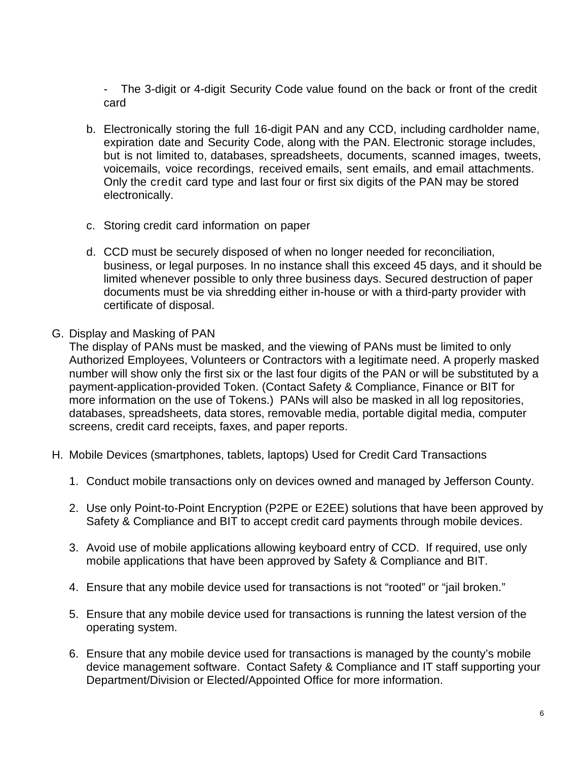- The 3-digit or 4-digit Security Code value found on the back or front of the credit card

- b. Electronically storing the full 16-digit PAN and any CCD, including cardholder name, expiration date and Security Code, along with the PAN. Electronic storage includes, but is not limited to, databases, spreadsheets, documents, scanned images, tweets, voicemails, voice recordings, received emails, sent emails, and email attachments. Only the credit card type and last four or first six digits of the PAN may be stored electronically.
- c. Storing credit card information on paper
- d. CCD must be securely disposed of when no longer needed for reconciliation, business, or legal purposes. In no instance shall this exceed 45 days, and it should be limited whenever possible to only three business days. Secured destruction of paper documents must be via shredding either in-house or with a third-party provider with certificate of disposal.
- G. Display and Masking of PAN

The display of PANs must be masked, and the viewing of PANs must be limited to only Authorized Employees, Volunteers or Contractors with a legitimate need. A properly masked number will show only the first six or the last four digits of the PAN or will be substituted by a payment-application-provided Token. (Contact Safety & Compliance, Finance or BIT for more information on the use of Tokens.) PANs will also be masked in all log repositories, databases, spreadsheets, data stores, removable media, portable digital media, computer screens, credit card receipts, faxes, and paper reports.

- H. Mobile Devices (smartphones, tablets, laptops) Used for Credit Card Transactions
	- 1. Conduct mobile transactions only on devices owned and managed by Jefferson County.
	- 2. Use only Point-to-Point Encryption (P2PE or E2EE) solutions that have been approved by Safety & Compliance and BIT to accept credit card payments through mobile devices.
	- 3. Avoid use of mobile applications allowing keyboard entry of CCD. If required, use only mobile applications that have been approved by Safety & Compliance and BIT.
	- 4. Ensure that any mobile device used for transactions is not "rooted" or "jail broken."
	- 5. Ensure that any mobile device used for transactions is running the latest version of the operating system.
	- 6. Ensure that any mobile device used for transactions is managed by the county's mobile device management software. Contact Safety & Compliance and IT staff supporting your Department/Division or Elected/Appointed Office for more information.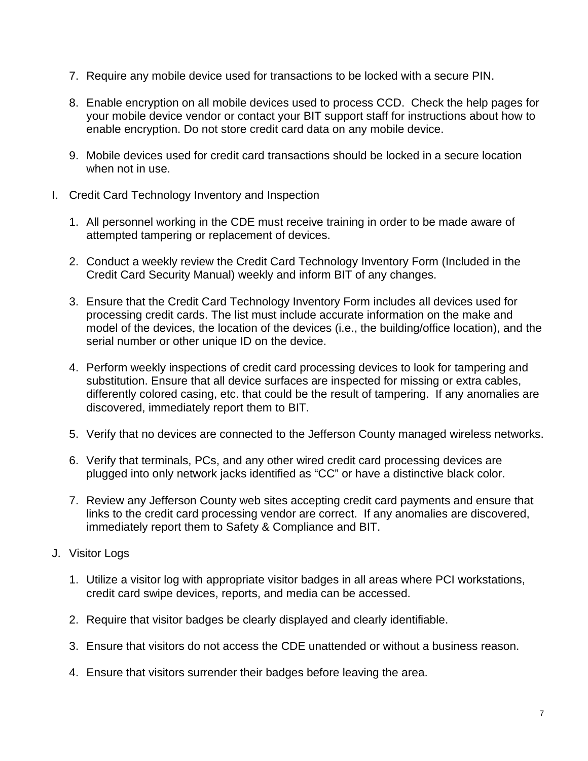- 7. Require any mobile device used for transactions to be locked with a secure PIN.
- 8. Enable encryption on all mobile devices used to process CCD. Check the help pages for your mobile device vendor or contact your BIT support staff for instructions about how to enable encryption. Do not store credit card data on any mobile device.
- 9. Mobile devices used for credit card transactions should be locked in a secure location when not in use.
- I. Credit Card Technology Inventory and Inspection
	- 1. All personnel working in the CDE must receive training in order to be made aware of attempted tampering or replacement of devices.
	- 2. Conduct a weekly review the Credit Card Technology Inventory Form (Included in the Credit Card Security Manual) weekly and inform BIT of any changes.
	- 3. Ensure that the Credit Card Technology Inventory Form includes all devices used for processing credit cards. The list must include accurate information on the make and model of the devices, the location of the devices (i.e., the building/office location), and the serial number or other unique ID on the device.
	- 4. Perform weekly inspections of credit card processing devices to look for tampering and substitution. Ensure that all device surfaces are inspected for missing or extra cables, differently colored casing, etc. that could be the result of tampering. If any anomalies are discovered, immediately report them to BIT.
	- 5. Verify that no devices are connected to the Jefferson County managed wireless networks.
	- 6. Verify that terminals, PCs, and any other wired credit card processing devices are plugged into only network jacks identified as "CC" or have a distinctive black color.
	- 7. Review any Jefferson County web sites accepting credit card payments and ensure that links to the credit card processing vendor are correct. If any anomalies are discovered, immediately report them to Safety & Compliance and BIT.
- J. Visitor Logs
	- 1. Utilize a visitor log with appropriate visitor badges in all areas where PCI workstations, credit card swipe devices, reports, and media can be accessed.
	- 2. Require that visitor badges be clearly displayed and clearly identifiable.
	- 3. Ensure that visitors do not access the CDE unattended or without a business reason.
	- 4. Ensure that visitors surrender their badges before leaving the area.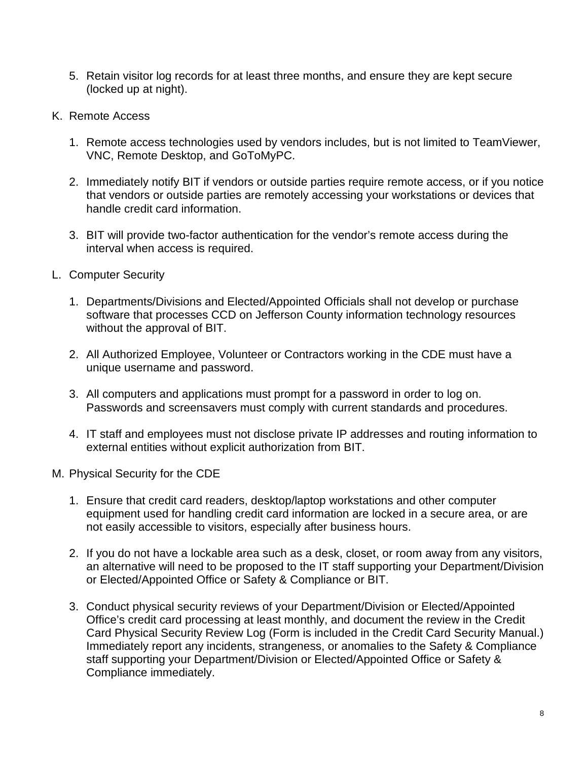- 5. Retain visitor log records for at least three months, and ensure they are kept secure (locked up at night).
- K. Remote Access
	- 1. Remote access technologies used by vendors includes, but is not limited to TeamViewer, VNC, Remote Desktop, and GoToMyPC.
	- 2. Immediately notify BIT if vendors or outside parties require remote access, or if you notice that vendors or outside parties are remotely accessing your workstations or devices that handle credit card information.
	- 3. BIT will provide two-factor authentication for the vendor's remote access during the interval when access is required.
- L. Computer Security
	- 1. Departments/Divisions and Elected/Appointed Officials shall not develop or purchase software that processes CCD on Jefferson County information technology resources without the approval of BIT.
	- 2. All Authorized Employee, Volunteer or Contractors working in the CDE must have a unique username and password.
	- 3. All computers and applications must prompt for a password in order to log on. Passwords and screensavers must comply with current standards and procedures.
	- 4. IT staff and employees must not disclose private IP addresses and routing information to external entities without explicit authorization from BIT.
- M. Physical Security for the CDE
	- 1. Ensure that credit card readers, desktop/laptop workstations and other computer equipment used for handling credit card information are locked in a secure area, or are not easily accessible to visitors, especially after business hours.
	- 2. If you do not have a lockable area such as a desk, closet, or room away from any visitors, an alternative will need to be proposed to the IT staff supporting your Department/Division or Elected/Appointed Office or Safety & Compliance or BIT.
	- 3. Conduct physical security reviews of your Department/Division or Elected/Appointed Office's credit card processing at least monthly, and document the review in the Credit Card Physical Security Review Log (Form is included in the Credit Card Security Manual.) Immediately report any incidents, strangeness, or anomalies to the Safety & Compliance staff supporting your Department/Division or Elected/Appointed Office or Safety & Compliance immediately.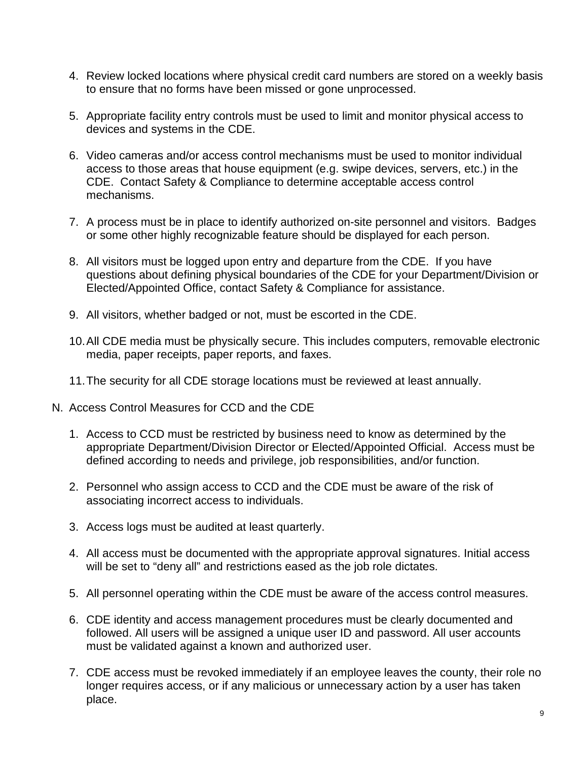- 4. Review locked locations where physical credit card numbers are stored on a weekly basis to ensure that no forms have been missed or gone unprocessed.
- 5. Appropriate facility entry controls must be used to limit and monitor physical access to devices and systems in the CDE.
- 6. Video cameras and/or access control mechanisms must be used to monitor individual access to those areas that house equipment (e.g. swipe devices, servers, etc.) in the CDE. Contact Safety & Compliance to determine acceptable access control mechanisms.
- 7. A process must be in place to identify authorized on-site personnel and visitors. Badges or some other highly recognizable feature should be displayed for each person.
- 8. All visitors must be logged upon entry and departure from the CDE. If you have questions about defining physical boundaries of the CDE for your Department/Division or Elected/Appointed Office, contact Safety & Compliance for assistance.
- 9. All visitors, whether badged or not, must be escorted in the CDE.
- 10.All CDE media must be physically secure. This includes computers, removable electronic media, paper receipts, paper reports, and faxes.
- 11.The security for all CDE storage locations must be reviewed at least annually.
- N. Access Control Measures for CCD and the CDE
	- 1. Access to CCD must be restricted by business need to know as determined by the appropriate Department/Division Director or Elected/Appointed Official. Access must be defined according to needs and privilege, job responsibilities, and/or function.
	- 2. Personnel who assign access to CCD and the CDE must be aware of the risk of associating incorrect access to individuals.
	- 3. Access logs must be audited at least quarterly.
	- 4. All access must be documented with the appropriate approval signatures. Initial access will be set to "deny all" and restrictions eased as the job role dictates.
	- 5. All personnel operating within the CDE must be aware of the access control measures.
	- 6. CDE identity and access management procedures must be clearly documented and followed. All users will be assigned a unique user ID and password. All user accounts must be validated against a known and authorized user.
	- 7. CDE access must be revoked immediately if an employee leaves the county, their role no longer requires access, or if any malicious or unnecessary action by a user has taken place.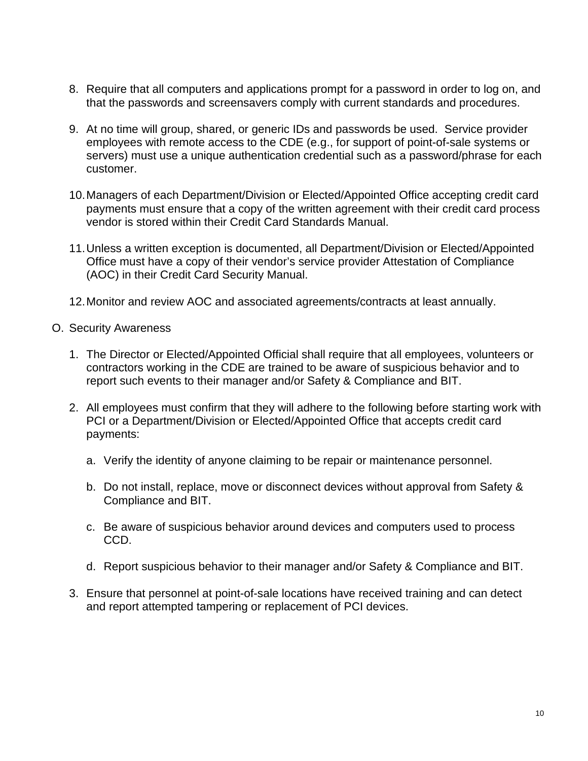- 8. Require that all computers and applications prompt for a password in order to log on, and that the passwords and screensavers comply with current standards and procedures.
- 9. At no time will group, shared, or generic IDs and passwords be used. Service provider employees with remote access to the CDE (e.g., for support of point-of-sale systems or servers) must use a unique authentication credential such as a password/phrase for each customer.
- 10.Managers of each Department/Division or Elected/Appointed Office accepting credit card payments must ensure that a copy of the written agreement with their credit card process vendor is stored within their Credit Card Standards Manual.
- 11.Unless a written exception is documented, all Department/Division or Elected/Appointed Office must have a copy of their vendor's service provider Attestation of Compliance (AOC) in their Credit Card Security Manual.
- 12.Monitor and review AOC and associated agreements/contracts at least annually.
- O. Security Awareness
	- 1. The Director or Elected/Appointed Official shall require that all employees, volunteers or contractors working in the CDE are trained to be aware of suspicious behavior and to report such events to their manager and/or Safety & Compliance and BIT.
	- 2. All employees must confirm that they will adhere to the following before starting work with PCI or a Department/Division or Elected/Appointed Office that accepts credit card payments:
		- a. Verify the identity of anyone claiming to be repair or maintenance personnel.
		- b. Do not install, replace, move or disconnect devices without approval from Safety & Compliance and BIT.
		- c. Be aware of suspicious behavior around devices and computers used to process CCD.
		- d. Report suspicious behavior to their manager and/or Safety & Compliance and BIT.
	- 3. Ensure that personnel at point-of-sale locations have received training and can detect and report attempted tampering or replacement of PCI devices.